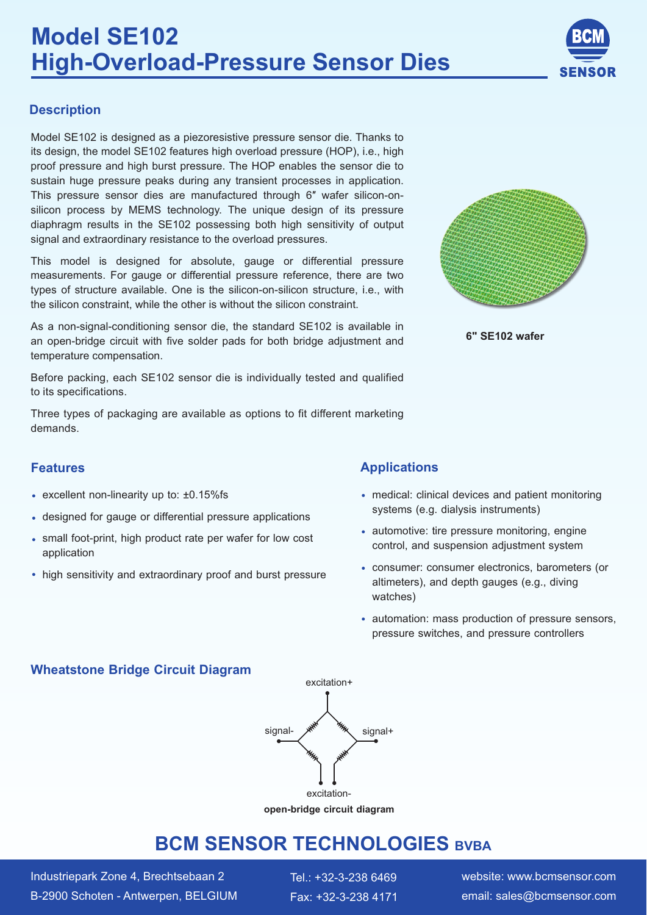

### **Description**

Model SE102 is designed as a piezoresistive pressure sensor die. Thanks to its design, the model SE102 features high overload pressure (HOP), i.e., high proof pressure and high burst pressure. The HOP enables the sensor die to sustain huge pressure peaks during any transient processes in application. This pressure sensor dies are manufactured through 6″ wafer silicon-onsilicon process by MEMS technology. The unique design of its pressure diaphragm results in the SE102 possessing both high sensitivity of output signal and extraordinary resistance to the overload pressures.

This model is designed for absolute, gauge or differential pressure measurements. For gauge or differential pressure reference, there are two types of structure available. One is the silicon-on-silicon structure, i.e., with the silicon constraint, while the other is without the silicon constraint.

As a non-signal-conditioning sensor die, the standard SE102 is available in an open-bridge circuit with five solder pads for both bridge adjustment and temperature compensation.

Before packing, each SE102 sensor die is individually tested and qualified to its specifications.

Three types of packaging are available as options to fit different marketing demands.

- $\cdot$  excellent non-linearity up to:  $\pm 0.15\%$  fs
- designed for gauge or differential pressure applications
- small foot-print, high product rate per wafer for low cost application
- high sensitivity and extraordinary proof and burst pressure



 **6" SE102 wafer**

### **Features Applications**

- medical: clinical devices and patient monitoring systems (e.g. dialysis instruments)
- automotive: tire pressure monitoring, engine control, and suspension adjustment system
- consumer: consumer electronics, barometers (or altimeters), and depth gauges (e.g., diving watches)
- automation: mass production of pressure sensors, pressure switches, and pressure controllers

### **Wheatstone Bridge Circuit Diagram**



**open-bridge circuit diagram** 

# **BCM SENSOR TECHNOLOGIES BVBA**

Industriepark Zone 4, Brechtsebaan 2 Tel.: +32-3-238 6469 B-2900 Schoten - Antwerpen, BELGIUM

Fax: +32-3-238 4171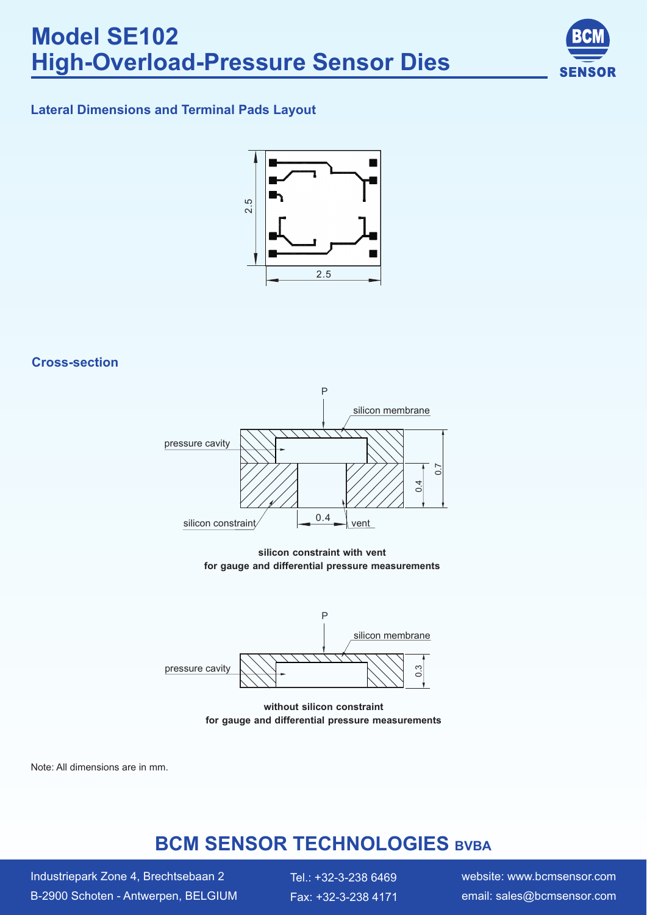

### **Lateral Dimensions and Terminal Pads Layout**



### **Cross-section**



**silicon constraint with vent** 



**without silicon constraint** for gauge and differential pressure measurements

Note: All dimensions are in mm.

# **BCM SENSOR TECHNOLOGIES** BVBA

Industriepark Zone 4, Brechtsebaan 2 Tel.: +32-3-238 6469 B-2900 Schoten - Antwerpen, BELGIUM

Fax: +32-3-238 4171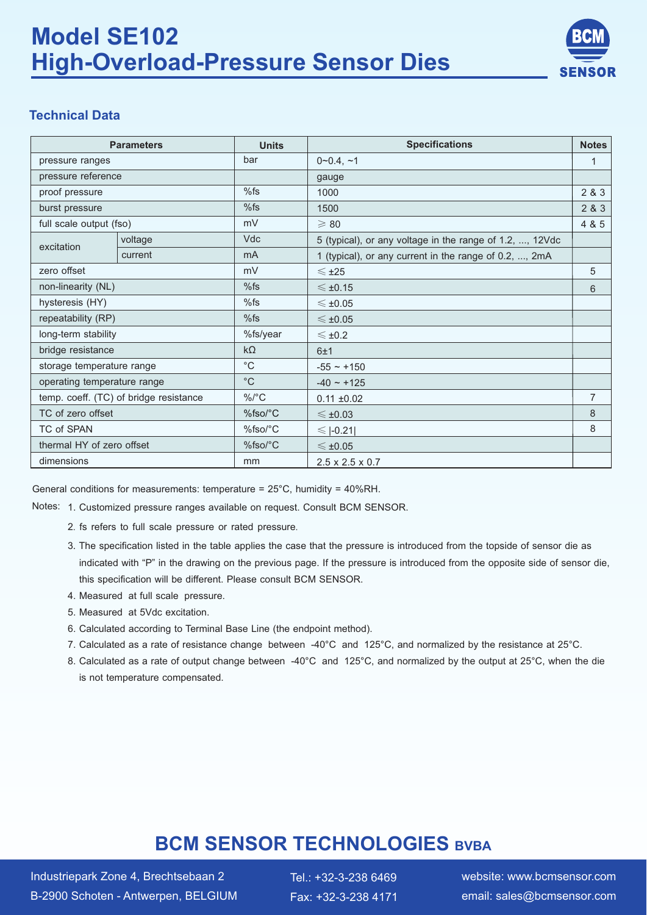# **Model SE102 High-Overload-Pressure Sensor Dies**



### **Technical Data**

| <b>Parameters</b>                      |         | <b>Units</b>                         | <b>Specifications</b>                                    |       |
|----------------------------------------|---------|--------------------------------------|----------------------------------------------------------|-------|
| pressure ranges                        |         | bar                                  | $0 - 0.4, -1$                                            | 1     |
| pressure reference                     |         |                                      | gauge                                                    |       |
| proof pressure                         |         | %fs                                  | 1000                                                     | 2 & 3 |
| burst pressure                         |         | %fs                                  | 1500                                                     | 2 & 3 |
| full scale output (fso)                |         | mV                                   | $\geqslant 80$                                           | 4 & 5 |
| excitation                             | voltage | <b>Vdc</b>                           | 5 (typical), or any voltage in the range of 1.2, , 12Vdc |       |
|                                        | current | mA                                   | 1 (typical), or any current in the range of 0.2, , 2mA   |       |
| zero offset                            |         | mV                                   | $\leq$ ±25                                               | 5     |
| non-linearity (NL)                     |         | %fs                                  | $\leq$ ±0.15                                             | 6     |
| hysteresis (HY)                        |         | %fs                                  | $\leq$ ±0.05                                             |       |
| repeatability (RP)                     |         | %fs                                  | $\leqslant$ ±0.05                                        |       |
| long-term stability                    |         | %fs/year                             | $\leq$ ±0.2                                              |       |
| bridge resistance                      |         | $k\Omega$                            | 6±1                                                      |       |
| storage temperature range              |         | $^{\circ}$ C                         | $-55 - +150$                                             |       |
| operating temperature range            |         | $^{\circ}C$                          | $-40 - +125$                                             |       |
| temp. coeff. (TC) of bridge resistance |         | $\%$ /°C                             | $0.11 \pm 0.02$                                          | 7     |
| TC of zero offset                      |         | $%$ fso/°C                           | $\leq$ ±0.03                                             | 8     |
| TC of SPAN                             |         | 8<br>$%$ fso $/$ °C<br>$\leq$  -0.21 |                                                          |       |
| thermal HY of zero offset              |         | %fso/°C                              | $\leqslant$ ±0.05                                        |       |
| dimensions                             |         | mm                                   | $2.5 \times 2.5 \times 0.7$                              |       |

General conditions for measurements: temperature = 25°C, humidity = 40%RH.

Notes: 1. Customized pressure ranges available on request. Consult BCM SENSOR.

- 2. fs refers to full scale pressure or rated pressure.
- 3. The specification listed in the table applies the case that the pressure is introduced from the topside of sensor die as indicated with "P" in the drawing on the previous page. If the pressure is introduced from the opposite side of sensor die, this specification will be different. Please consult BCM SENSOR.
- 4. Measured at full scale pressure.
- 5. Measured at 5Vdc excitation.
- 6. Calculated according to Terminal Base Line (the endpoint method).
- 7. Calculated as a rate of resistance change between -40°C and 125°C, and normalized by the resistance at 25°C.
- 8. Calculated as a rate of output change between -40°C and 125°C, and normalized by the output at 25°C, when the die is not temperature compensated.

# **BCM SENSOR TECHNOLOGIES** BVBA

Industriepark Zone 4, Brechtsebaan 2 Tel.: +32-3-238 6469 B-2900 Schoten - Antwerpen, BELGIUM

Fax: +32-3-238 4171